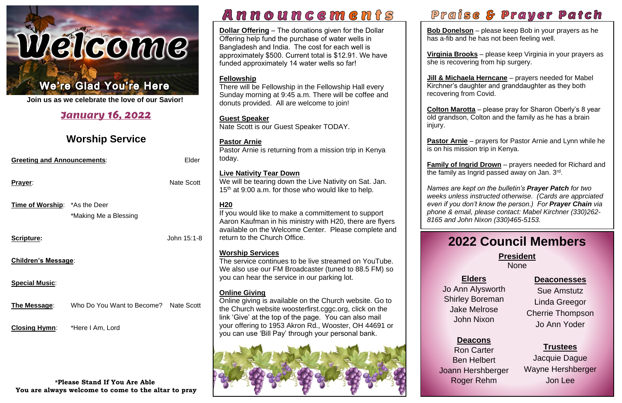

**Join us as we celebrate the love of our Savior!**

# January 16, 2022

# **Worship Service**

| <b>Greeting and Announcements:</b> |                                       | Elder             |
|------------------------------------|---------------------------------------|-------------------|
| <b>Prayer:</b>                     |                                       | <b>Nate Scott</b> |
| Time of Worship: * As the Deer     | *Making Me a Blessing                 |                   |
| Scripture:                         |                                       | John 15:1-8       |
| <b>Children's Message:</b>         |                                       |                   |
| <b>Special Music:</b>              |                                       |                   |
| The Message:                       | Who Do You Want to Become? Nate Scott |                   |
| <b>Closing Hymn:</b>               | *Here I Am, Lord                      |                   |

**\*Please Stand If You Are Able You are always welcome to come to the altar to pray**

# Announcements

**Dollar Offering** – The donations given for the Dollar Offering help fund the purchase of water wells in Bangladesh and India. The cost for each well is approximately \$500. Current total is \$12.91. We have funded approximately 14 water wells so far!

#### **Fellowship**

There will be Fellowship in the Fellowship Hall every Sunday morning at 9:45 a.m. There will be coffee and donuts provided. All are welcome to join!

#### **Guest Speaker** Nate Scott is our Guest Speaker TODAY.

#### **Pastor Arnie**

Pastor Arnie is returning from a mission trip in Kenya today.

#### **Live Nativity Tear Down**

We will be tearing down the Live Nativity on Sat. Jan.  $15<sup>th</sup>$  at 9:00 a.m. for those who would like to help.

old grandson, Colton and the family as he has a brain<br>injung **Colton Marotta** – please pray for Sharon Oberly's 8 year

# **H20**

the family as Ingrid passed away on Jan. 3<sup>rd</sup>. **Family of Ingrid Drown** – prayers needed for Richard and

If you would like to make a committement to support Aaron Kaufman in his ministry with H20, there are flyers available on the Welcome Center. Please complete and return to the Church Office.

#### **Worship Services**

# j **2022 Council Members**

 **Pastor Arnie** – prayers for Pastor Arnie and Lynn while he is on his mission trip in Kenya.

The service continues to be live streamed on YouTube. We also use our FM Broadcaster (tuned to 88.5 FM) so you can hear the service in our parking lot.

#### **Online Giving**

 *Names are kept on the bulletin's Prayer Patch for two even if you don't know the person.) For Prayer Chain via 8165 and John Nixon (330)465-5153. weeks unless instructed otherwise. (Cards are apprciated phone & email, please contact: Mabel Kirchner (330)262-*

#### **President** None

 $\overline{\phantom{a}}$ 

Online giving is available on the Church website. Go to the Church website [woosterfirst.cggc.org,](http://woosterfirst.cggc.org/) click on the link 'Give' at the top of the page. You can also mail your offering to 1953 Akron Rd., Wooster, OH 44691 or you can use 'Bill Pay' through your personal bank.



**Bob Donelson** – please keep Bob in your prayers as he has a-fib and he has not been feeling well.

**Virginia Brooks** – please keep Virginia in your prayers as she is recovering from hip surgery.

**Jill & Michaela Herncane** – prayers needed for Mabel Kirchner's daughter and granddaughter as they both recovering from Covid.

injury.

#### **Elders**

Jo Ann Alysworth Shirley Boreman Jake Melrose John Nixon

#### **Deacons**

Ron Carter Ben Helbert Joann Hershberger Roger Rehm

# Praise & Prayer Patch

#### **Deaconesses**

Sue Amstutz Linda Greegor Cherrie Thompson Jo Ann Yoder

#### **Trustees**

Jacquie Dague Wayne Hershberger Jon Lee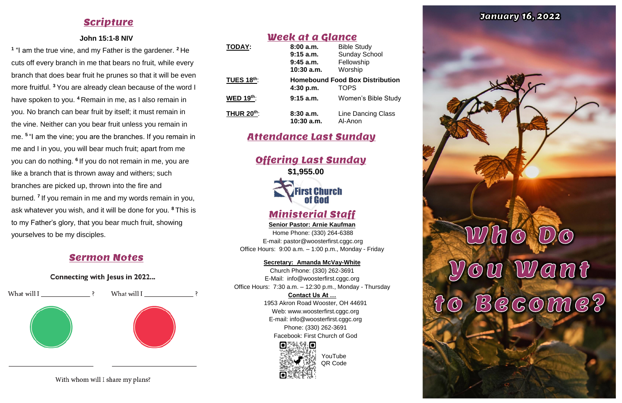# **Scripture**

#### **John 15:1-8 NIV**

**1** "I am the true vine, and my Father is the gardener. **<sup>2</sup>** He cuts off every branch in me that bears no fruit, while every branch that does bear fruit he prunes so that it will be even more fruitful. **<sup>3</sup>** You are already clean because of the word I have spoken to you. **<sup>4</sup>** Remain in me, as I also remain in you. No branch can bear fruit by itself; it must remain in the vine. Neither can you bear fruit unless you remain in me. **<sup>5</sup>** "I am the vine; you are the branches. If you remain in me and I in you, you will bear much fruit; apart from me you can do nothing. **<sup>6</sup>** If you do not remain in me, you are like a branch that is thrown away and withers; such branches are picked up, thrown into the fire and burned. **<sup>7</sup>** If you remain in me and my words remain in you, ask whatever you wish, and it will be done for you. **<sup>8</sup>** This is to my Father's glory, that you bear much fruit, showing yourselves to be my disciples.

## Sermon Notes



Connecting with Jesus in 2022...

With whom will I share my plans?

## Week at a Glance

| <b>TODAY:</b>     | 8:00a.m.                               | <b>Bible Study</b>         |
|-------------------|----------------------------------------|----------------------------|
|                   | $9:15$ a.m.                            | <b>Sunday School</b>       |
|                   | $9:45$ a.m.                            | Fellowship                 |
|                   | $10:30$ a.m.                           | Worship                    |
| <b>TUES 18th:</b> | <b>Homebound Food Box Distribution</b> |                            |
|                   | $4:30$ p.m.                            | <b>TOPS</b>                |
| <b>WED 19th:</b>  | $9:15$ a.m.                            | <b>Women's Bible Study</b> |
| <b>THUR 20th:</b> | 8:30a.m.                               | <b>Line Dancing Class</b>  |
|                   | 10:30 a.m.                             | Al-Anon                    |

# Attendance Last Sunday



#### **Secretary: Amanda McVay-White**

Church Phone: (330) 262-3691 E-Mail: info@woosterfirst.cggc.org Office Hours: 7:30 a.m. – 12:30 p.m., Monday - Thursday **Contact Us At …** 1953 Akron Road Wooster, OH 44691 Web: [www.woosterfirst.cggc.org](http://www.woosterfirst.cggc.org/) E-mail: info@woosterfirst.cggc.org

> Phone: (330) 262-3691 Facebook: First Church of God



YouTube QR Code